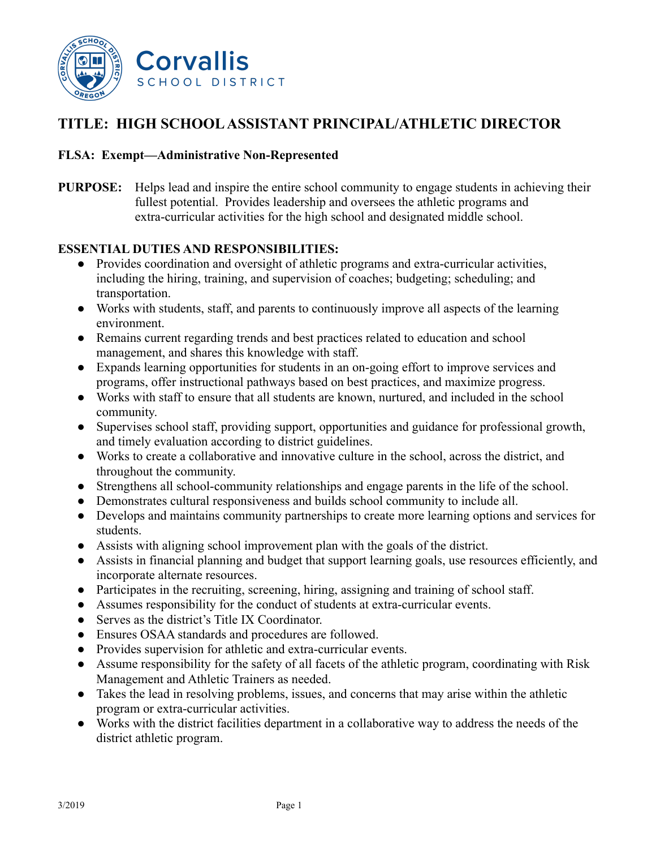

## **TITLE: HIGH SCHOOLASSISTANT PRINCIPAL/ATHLETIC DIRECTOR**

#### **FLSA: Exempt—Administrative Non-Represented**

**PURPOSE:** Helps lead and inspire the entire school community to engage students in achieving their fullest potential. Provides leadership and oversees the athletic programs and extra-curricular activities for the high school and designated middle school.

#### **ESSENTIAL DUTIES AND RESPONSIBILITIES:**

- Provides coordination and oversight of athletic programs and extra-curricular activities, including the hiring, training, and supervision of coaches; budgeting; scheduling; and transportation.
- Works with students, staff, and parents to continuously improve all aspects of the learning environment.
- Remains current regarding trends and best practices related to education and school management, and shares this knowledge with staff.
- Expands learning opportunities for students in an on-going effort to improve services and programs, offer instructional pathways based on best practices, and maximize progress.
- Works with staff to ensure that all students are known, nurtured, and included in the school community.
- Supervises school staff, providing support, opportunities and guidance for professional growth, and timely evaluation according to district guidelines.
- Works to create a collaborative and innovative culture in the school, across the district, and throughout the community.
- Strengthens all school-community relationships and engage parents in the life of the school.
- Demonstrates cultural responsiveness and builds school community to include all.
- Develops and maintains community partnerships to create more learning options and services for students.
- Assists with aligning school improvement plan with the goals of the district.
- Assists in financial planning and budget that support learning goals, use resources efficiently, and incorporate alternate resources.
- Participates in the recruiting, screening, hiring, assigning and training of school staff.
- Assumes responsibility for the conduct of students at extra-curricular events.
- Serves as the district's Title IX Coordinator.
- Ensures OSAA standards and procedures are followed.
- Provides supervision for athletic and extra-curricular events.
- Assume responsibility for the safety of all facets of the athletic program, coordinating with Risk Management and Athletic Trainers as needed.
- Takes the lead in resolving problems, issues, and concerns that may arise within the athletic program or extra-curricular activities.
- Works with the district facilities department in a collaborative way to address the needs of the district athletic program.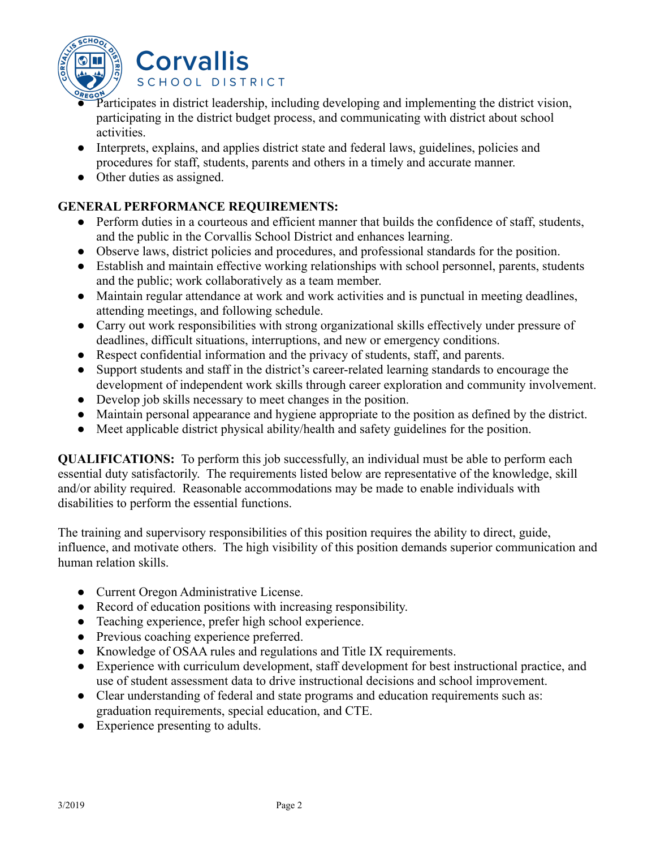

**Corvallis** SCHOOL DISTRICT

- Participates in district leadership, including developing and implementing the district vision, participating in the district budget process, and communicating with district about school activities.
- Interprets, explains, and applies district state and federal laws, guidelines, policies and procedures for staff, students, parents and others in a timely and accurate manner.
- Other duties as assigned.

## **GENERAL PERFORMANCE REQUIREMENTS:**

- Perform duties in a courteous and efficient manner that builds the confidence of staff, students, and the public in the Corvallis School District and enhances learning.
- Observe laws, district policies and procedures, and professional standards for the position.
- Establish and maintain effective working relationships with school personnel, parents, students and the public; work collaboratively as a team member.
- Maintain regular attendance at work and work activities and is punctual in meeting deadlines, attending meetings, and following schedule.
- Carry out work responsibilities with strong organizational skills effectively under pressure of deadlines, difficult situations, interruptions, and new or emergency conditions.
- Respect confidential information and the privacy of students, staff, and parents.
- Support students and staff in the district's career-related learning standards to encourage the development of independent work skills through career exploration and community involvement.
- Develop job skills necessary to meet changes in the position.
- Maintain personal appearance and hygiene appropriate to the position as defined by the district.
- Meet applicable district physical ability/health and safety guidelines for the position.

**QUALIFICATIONS:** To perform this job successfully, an individual must be able to perform each essential duty satisfactorily. The requirements listed below are representative of the knowledge, skill and/or ability required. Reasonable accommodations may be made to enable individuals with disabilities to perform the essential functions.

The training and supervisory responsibilities of this position requires the ability to direct, guide, influence, and motivate others. The high visibility of this position demands superior communication and human relation skills.

- Current Oregon Administrative License.
- Record of education positions with increasing responsibility.
- Teaching experience, prefer high school experience.
- Previous coaching experience preferred.
- Knowledge of OSAA rules and regulations and Title IX requirements.
- Experience with curriculum development, staff development for best instructional practice, and use of student assessment data to drive instructional decisions and school improvement.
- Clear understanding of federal and state programs and education requirements such as: graduation requirements, special education, and CTE.
- Experience presenting to adults.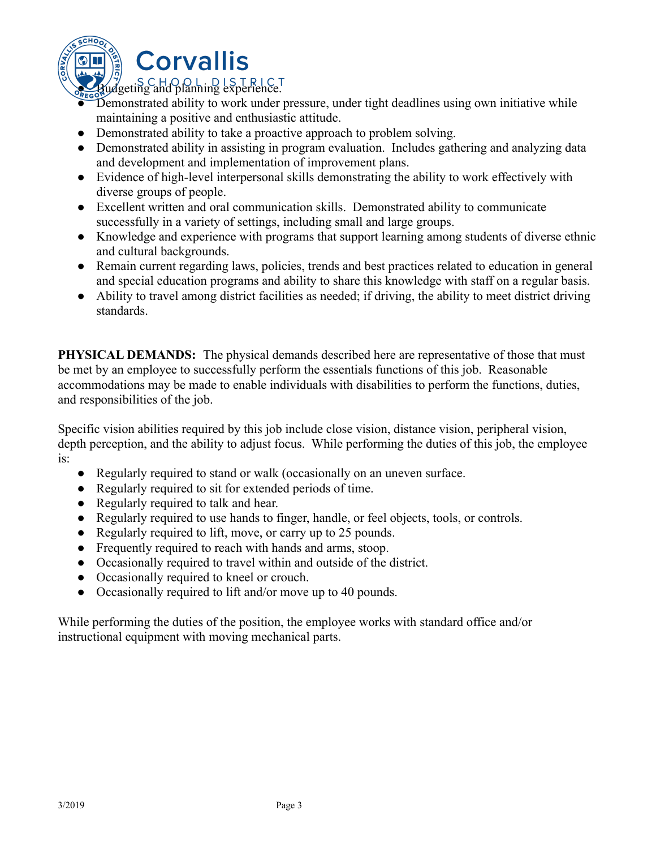

# **Corvallis**

 $SO(1,0) \cup SU(2) \cup SU(2) \cup SU(2) \cup SU(2) \cup SU(2) \cup SU(2) \cup SU(2) \cup SU(2) \cup SU(2) \cup SU(2) \cup U(2) \cup U(2) \cup U(2) \cup U(2) \cup U(2) \cup U(2) \cup U(2) \cup U(2) \cup U(2) \cup U(2) \cup U(2) \cup U(2) \cup U(2) \cup U(2) \cup U(2) \cup U(2) \cup U(2) \cup U(2) \cup U(2) \cup U(2) \cup U(2) \cup U(2) \cup U(2) \cup U(2) \cup U(2) \cup U($ 

- Demonstrated ability to work under pressure, under tight deadlines using own initiative while maintaining a positive and enthusiastic attitude.
- Demonstrated ability to take a proactive approach to problem solving.
- Demonstrated ability in assisting in program evaluation. Includes gathering and analyzing data and development and implementation of improvement plans.
- Evidence of high-level interpersonal skills demonstrating the ability to work effectively with diverse groups of people.
- Excellent written and oral communication skills. Demonstrated ability to communicate successfully in a variety of settings, including small and large groups.
- Knowledge and experience with programs that support learning among students of diverse ethnic and cultural backgrounds.
- Remain current regarding laws, policies, trends and best practices related to education in general and special education programs and ability to share this knowledge with staff on a regular basis.
- Ability to travel among district facilities as needed; if driving, the ability to meet district driving standards.

**PHYSICAL DEMANDS:** The physical demands described here are representative of those that must be met by an employee to successfully perform the essentials functions of this job. Reasonable accommodations may be made to enable individuals with disabilities to perform the functions, duties, and responsibilities of the job.

Specific vision abilities required by this job include close vision, distance vision, peripheral vision, depth perception, and the ability to adjust focus. While performing the duties of this job, the employee is:

- Regularly required to stand or walk (occasionally on an uneven surface.
- Regularly required to sit for extended periods of time.
- Regularly required to talk and hear.
- Regularly required to use hands to finger, handle, or feel objects, tools, or controls.
- Regularly required to lift, move, or carry up to 25 pounds.
- Frequently required to reach with hands and arms, stoop.
- Occasionally required to travel within and outside of the district.
- Occasionally required to kneel or crouch.
- Occasionally required to lift and/or move up to 40 pounds.

While performing the duties of the position, the employee works with standard office and/or instructional equipment with moving mechanical parts.